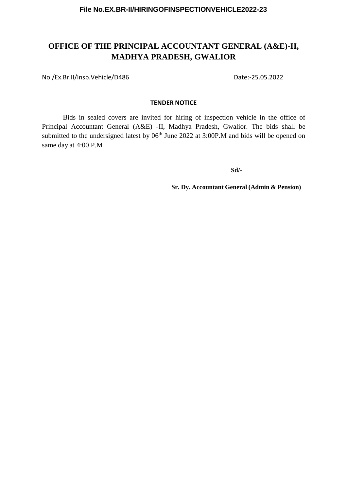## **OFFICE OF THE PRINCIPAL ACCOUNTANT GENERAL (A&E)-II, MADHYA PRADESH, GWALIOR**

No./Ex.Br.II/Insp.Vehicle/D486 Date:-25.05.2022

#### **TENDER NOTICE**

Bids in sealed covers are invited for hiring of inspection vehicle in the office of Principal Accountant General (A&E) -II, Madhya Pradesh, Gwalior. The bids shall be submitted to the undersigned latest by 06<sup>th</sup> June 2022 at 3:00P.M and bids will be opened on same day at 4:00 P.M

**Sd/-**

**Sr. Dy. Accountant General (Admin & Pension)**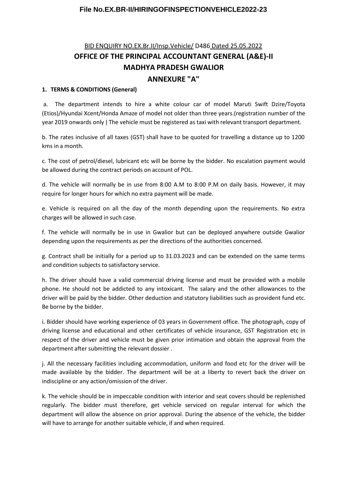# BID ENQUIRY NO.EX.Br.II/Insp.Vehicle/ D486 Dated 25.05.2022 **OFFICE OF THE PRINCIPAL ACCOUNTANT GENERAL (A&E)-II MADHYA PRADESH GWALIOR ANNEXURE "A"**

#### **1. TERMS & CONDITIONS (General)**

a. The department intends to hire a white colour car of model Maruti Swift Dzire/Toyota (Etios)/Hyundai Xcent/Honda Amaze of model not older than three years.(registration number of the year 2019 onwards only ) The vehicle must be registered as taxi with relevant transport department.

b. The rates inclusive of all taxes (GST) shall have to be quoted for travelling a distance up to 1200 kms in a month.

c. The cost of petrol/diesel, lubricant etc will be borne by the bidder. No escalation payment would be allowed during the contract periods on account of POL.

d. The vehicle will normally be in use from 8:00 A.M to 8:00 P.M on daily basis. However, it may require for longer hours for which no extra payment will be made.

e. Vehicle is required on all the day of the month depending upon the requirements. No extra charges will be allowed in such case.

f. The vehicle will normally be in use in Gwalior but can be deployed anywhere outside Gwalior depending upon the requirements as per the directions of the authorities concerned.

g. Contract shall be initially for a period up to 31.03.2023 and can be extended on the same terms and condition subjects to satisfactory service.

h. The driver should have a valid commercial driving license and must be provided with a mobile phone. He should not be addicted to any intoxicant. The salary and the other allowances to the driver will be paid by the bidder. Other deduction and statutory liabilities such as provident fund etc. Be borne by the bidder.

i. Bidder should have working experience of 03 years in Government office. The photograph, copy of driving license and educational and other certificates of vehicle insurance, GST Registration etc in respect of the driver and vehicle must be given prior intimation and obtain the approval from the department after submitting the relevant dossier .

j. All the necessary facilities including accommodation, uniform and food etc for the driver will be made available by the bidder. The department will be at a liberty to revert back the driver on indiscipline or any action/omission of the driver.

k. The vehicle should be in impeccable condition with interior and seat covers should be replenished regularly. The bidder must therefore, get vehicle serviced on regular interval for which the department will allow the absence on prior approval. During the absence of the vehicle, the bidder will have to arrange for another suitable vehicle, if and when required.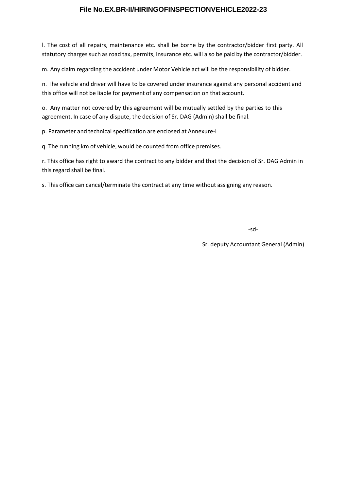l. The cost of all repairs, maintenance etc. shall be borne by the contractor/bidder first party. All statutory charges such as road tax, permits, insurance etc. will also be paid by the contractor/bidder.

m. Any claim regarding the accident under Motor Vehicle act will be the responsibility of bidder.

n. The vehicle and driver will have to be covered under insurance against any personal accident and this office will not be liable for payment of any compensation on that account.

o. Any matter not covered by this agreement will be mutually settled by the parties to this agreement. In case of any dispute, the decision of Sr. DAG (Admin) shall be final.

p. Parameter and technical specification are enclosed at Annexure-I

q. The running km of vehicle, would be counted from office premises.

r. This office has right to award the contract to any bidder and that the decision of Sr. DAG Admin in this regard shall be final.

s. This office can cancel/terminate the contract at any time without assigning any reason.

-sd-

Sr. deputy Accountant General (Admin)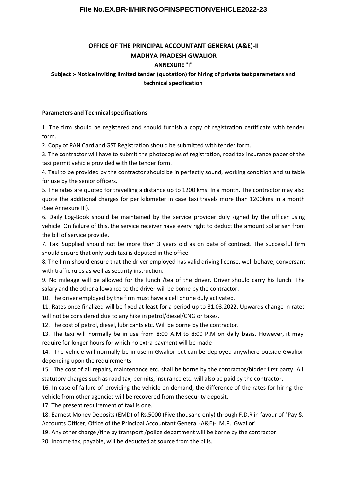## **OFFICE OF THE PRINCIPAL ACCOUNTANT GENERAL (A&E)-II MADHYA PRADESH GWALIOR**

#### **ANNEXURE "**I"

## **Subject :- Notice inviting limited tender (quotation) for hiring of private test parameters and technicalspecification**

#### **Parameters and Technical specifications**

1. The firm should be registered and should furnish a copy of registration certificate with tender form.

2. Copy of PAN Card and GST Registration should be submitted with tender form.

3. The contractor will have to submit the photocopies of registration, road tax insurance paper of the taxi permit vehicle provided with the tender form.

4. Taxi to be provided by the contractor should be in perfectly sound, working condition and suitable for use by the senior officers.

5. The rates are quoted for travelling a distance up to 1200 kms. In a month. The contractor may also quote the additional charges for per kilometer in case taxi travels more than 1200kms in a month (See Annexure III).

6. Daily Log-Book should be maintained by the service provider duly signed by the officer using vehicle. On failure of this, the service receiver have every right to deduct the amount sol arisen from the bill of service provide.

7. Taxi Supplied should not be more than 3 years old as on date of contract. The successful firm should ensure that only such taxi is deputed in the office.

8. The firm should ensure that the driver employed has valid driving license, well behave, conversant with traffic rules as well as security instruction.

9. No mileage will be allowed for the lunch /tea of the driver. Driver should carry his lunch. The salary and the other allowance to the driver will be borne by the contractor.

10. The driver employed by the firm must have a cell phone duly activated.

11. Rates once finalized will be fixed at least for a period up to 31.03.2022. Upwards change in rates will not be considered due to any hike in petrol/diesel/CNG or taxes.

12. The cost of petrol, diesel, lubricants etc. Will be borne by the contractor.

13. The taxi will normally be in use from 8:00 A.M to 8:00 P.M on daily basis. However, it may require for longer hours for which no extra payment will be made

14. The vehicle will normally be in use in Gwalior but can be deployed anywhere outside Gwalior depending upon the requirements

15. The cost of all repairs, maintenance etc. shall be borne by the contractor/bidder first party. All statutory charges such as road tax, permits, insurance etc. will also be paid by the contractor.

16. In case of failure of providing the vehicle on demand, the difference of the rates for hiring the vehicle from other agencies will be recovered from the security deposit.

17. The present requirement of taxi is one.

18. Earnest Money Deposits (EMD) of Rs.5000 (Five thousand only) through F.D.R in favour of "Pay & Accounts Officer, Office of the Principal Accountant General (A&E)-I M.P., Gwalior"

19. Any other charge /fine by transport /police department will be borne by the contractor.

20. Income tax, payable, will be deducted at source from the bills.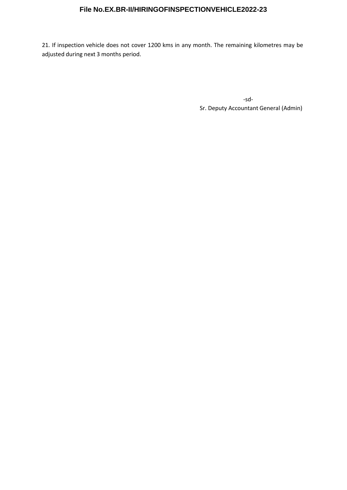21. If inspection vehicle does not cover 1200 kms in any month. The remaining kilometres may be adjusted during next 3 months period.

-sd-

Sr. Deputy Accountant General (Admin)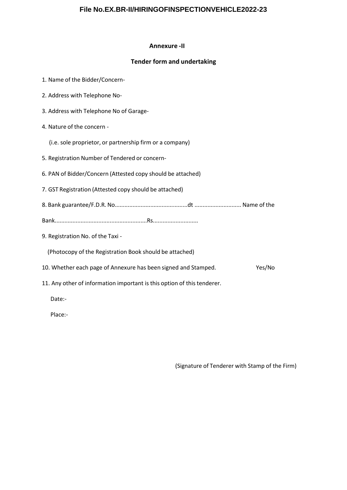#### **Annexure -II**

### **Tender form and undertaking**

- 1. Name of the Bidder/Concern-
- 2. Address with Telephone No-
- 3. Address with Telephone No of Garage-
- 4. Nature of the concern
	- (i.e. sole proprietor, or partnership firm or a company)
- 5. Registration Number of Tendered or concern-
- 6. PAN of Bidder/Concern (Attested copy should be attached)
- 7. GST Registration (Attested copy should be attached)
- 8. Bank guarantee/F.D.R. No.............................................dt ............................. Name of the
- Bank.........................................................Rs............................
- 9. Registration No. of the Taxi -

(Photocopy of the Registration Book should be attached)

- 10. Whether each page of Annexure has been signed and Stamped. Yes/No
- 11. Any other of information important is this option of this tenderer.

Date:-

Place:-

(Signature of Tenderer with Stamp of the Firm)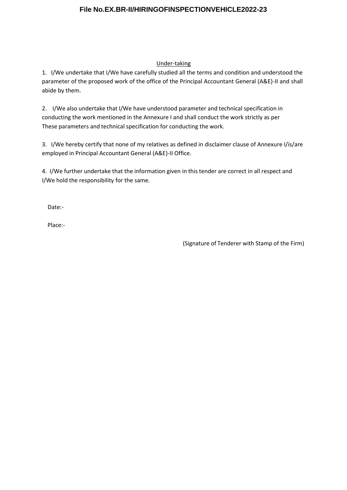## Under-taking

1. I/We undertake that I/We have carefully studied all the terms and condition and understood the parameter of the proposed work of the office of the Principal Accountant General (A&E)-II and shall abide by them.

2. I/We also undertake that I/We have understood parameter and technical specification in conducting the work mentioned in the Annexure I and shall conduct the work strictly as per These parameters and technical specification for conducting the work.

3. I/We hereby certify that none of my relatives as defined in disclaimer clause of Annexure I/is/are employed in Principal Accountant General (A&E)-II Office.

4. I/We further undertake that the information given in this tender are correct in all respect and I/We hold the responsibility for the same.

Date:-

Place:-

(Signature of Tenderer with Stamp of the Firm)